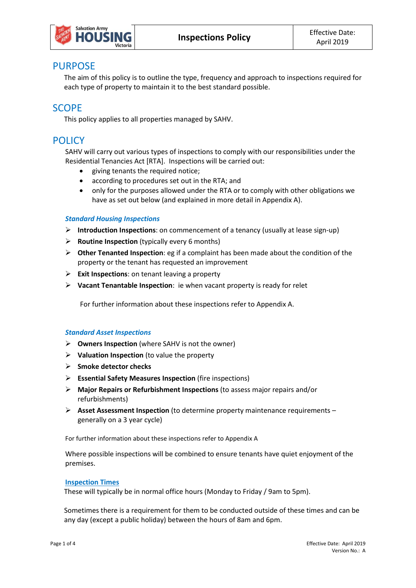

## PURPOSE

The aim of this policy is to outline the type, frequency and approach to inspections required for each type of property to maintain it to the best standard possible.

## **SCOPF**

This policy applies to all properties managed by SAHV.

# **POLICY**

SAHV will carry out various types of inspections to comply with our responsibilities under the Residential Tenancies Act [RTA]. Inspections will be carried out:

- giving tenants the required notice;
- according to procedures set out in the RTA; and
- only for the purposes allowed under the RTA or to comply with other obligations we have as set out below (and explained in more detail in Appendix A).

## *Standard Housing Inspections*

- **Introduction Inspections**: on commencement of a tenancy (usually at lease sign-up)
- **Routine Inspection** (typically every 6 months)
- **Other Tenanted Inspection**: eg if a complaint has been made about the condition of the property or the tenant has requested an improvement
- **Exit Inspections**: on tenant leaving a property
- **Vacant Tenantable Inspection**: ie when vacant property is ready for relet

For further information about these inspections refer to Appendix A.

#### *Standard Asset Inspections*

- **Owners Inspection** (where SAHV is not the owner)
- **Valuation Inspection** (to value the property
- **Smoke detector checks**
- **Essential Safety Measures Inspection** (fire inspections)
- **Major Repairs or Refurbishment Inspections** (to assess major repairs and/or refurbishments)
- **Asset Assessment Inspection** (to determine property maintenance requirements generally on a 3 year cycle)

For further information about these inspections refer to Appendix A

Where possible inspections will be combined to ensure tenants have quiet enjoyment of the premises.

#### **Inspection Times**

These will typically be in normal office hours (Monday to Friday / 9am to 5pm).

Sometimes there is a requirement for them to be conducted outside of these times and can be any day (except a public holiday) between the hours of 8am and 6pm.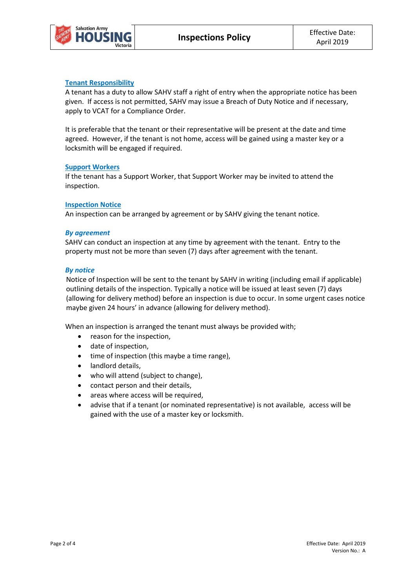## **Tenant Responsibility**

A tenant has a duty to allow SAHV staff a right of entry when the appropriate notice has been given. If access is not permitted, SAHV may issue a Breach of Duty Notice and if necessary, apply to VCAT for a Compliance Order.

It is preferable that the tenant or their representative will be present at the date and time agreed. However, if the tenant is not home, access will be gained using a master key or a locksmith will be engaged if required.

#### **Support Workers**

If the tenant has a Support Worker, that Support Worker may be invited to attend the inspection.

#### **Inspection Notice**

An inspection can be arranged by agreement or by SAHV giving the tenant notice.

#### *By agreement*

SAHV can conduct an inspection at any time by agreement with the tenant. Entry to the property must not be more than seven (7) days after agreement with the tenant.

#### *By notice*

Notice of Inspection will be sent to the tenant by SAHV in writing (including email if applicable) outlining details of the inspection. Typically a notice will be issued at least seven (7) days (allowing for delivery method) before an inspection is due to occur. In some urgent cases notice maybe given 24 hours' in advance (allowing for delivery method).

When an inspection is arranged the tenant must always be provided with;

- reason for the inspection,
- date of inspection,
- time of inspection (this maybe a time range),
- landlord details,
- who will attend (subject to change),
- contact person and their details,
- areas where access will be required,
- advise that if a tenant (or nominated representative) is not available, access will be gained with the use of a master key or locksmith.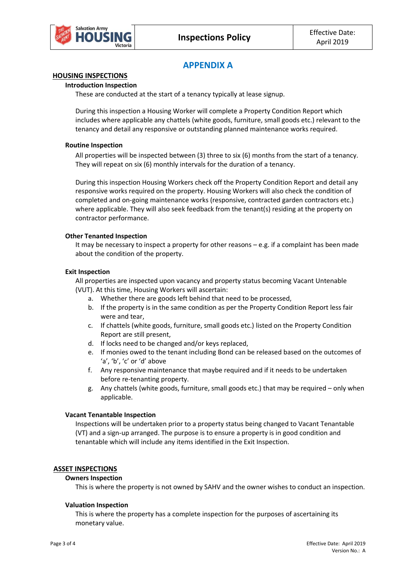# **APPENDIX A**

## **HOUSING INSPECTIONS**

#### **Introduction Inspection**

These are conducted at the start of a tenancy typically at lease signup.

During this inspection a Housing Worker will complete a Property Condition Report which includes where applicable any chattels (white goods, furniture, small goods etc.) relevant to the tenancy and detail any responsive or outstanding planned maintenance works required.

#### **Routine Inspection**

All properties will be inspected between (3) three to six (6) months from the start of a tenancy. They will repeat on six (6) monthly intervals for the duration of a tenancy.

During this inspection Housing Workers check off the Property Condition Report and detail any responsive works required on the property. Housing Workers will also check the condition of completed and on-going maintenance works (responsive, contracted garden contractors etc.) where applicable. They will also seek feedback from the tenant(s) residing at the property on contractor performance.

#### **Other Tenanted Inspection**

It may be necessary to inspect a property for other reasons  $-e.g.$  if a complaint has been made about the condition of the property.

#### **Exit Inspection**

All properties are inspected upon vacancy and property status becoming Vacant Untenable (VUT). At this time, Housing Workers will ascertain:

- a. Whether there are goods left behind that need to be processed,
- b. If the property is in the same condition as per the Property Condition Report less fair were and tear,
- c. If chattels (white goods, furniture, small goods etc.) listed on the Property Condition Report are still present,
- d. If locks need to be changed and/or keys replaced,
- e. If monies owed to the tenant including Bond can be released based on the outcomes of 'a', 'b', 'c' or 'd' above
- f. Any responsive maintenance that maybe required and if it needs to be undertaken before re-tenanting property.
- g. Any chattels (white goods, furniture, small goods etc.) that may be required only when applicable.

#### **Vacant Tenantable Inspection**

Inspections will be undertaken prior to a property status being changed to Vacant Tenantable (VT) and a sign-up arranged. The purpose is to ensure a property is in good condition and tenantable which will include any items identified in the Exit Inspection.

#### **ASSET INSPECTIONS**

#### **Owners Inspection**

This is where the property is not owned by SAHV and the owner wishes to conduct an inspection.

#### **Valuation Inspection**

This is where the property has a complete inspection for the purposes of ascertaining its monetary value.